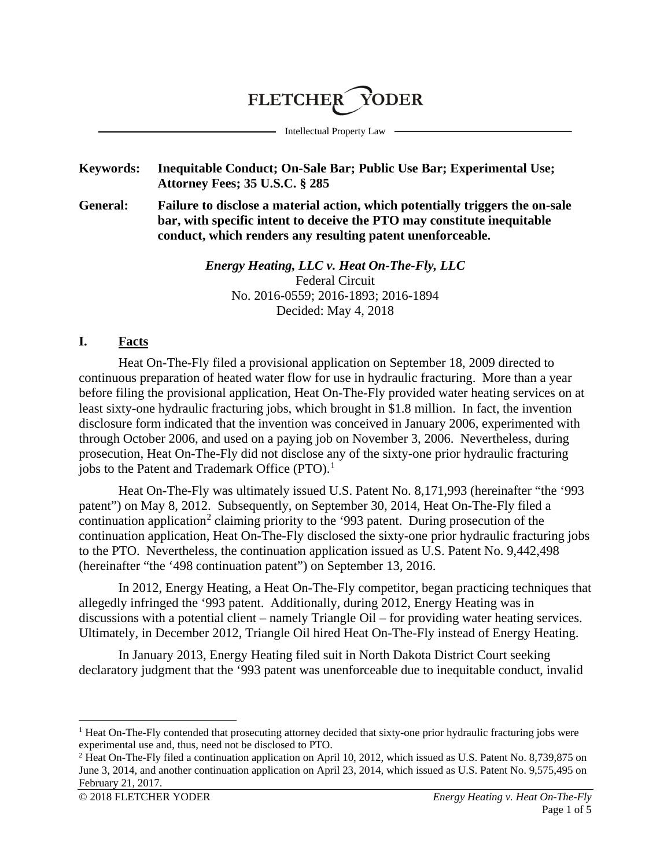### **FLETCHER** YODER

Intellectual Property Law

### **Keywords: Inequitable Conduct; On-Sale Bar; Public Use Bar; Experimental Use; Attorney Fees; 35 U.S.C. § 285**

**General: Failure to disclose a material action, which potentially triggers the on-sale bar, with specific intent to deceive the PTO may constitute inequitable conduct, which renders any resulting patent unenforceable.**

> *Energy Heating, LLC v. Heat On-The-Fly, LLC* Federal Circuit No. 2016-0559; 2016-1893; 2016-1894 Decided: May 4, 2018

#### **I. Facts**

Heat On-The-Fly filed a provisional application on September 18, 2009 directed to continuous preparation of heated water flow for use in hydraulic fracturing. More than a year before filing the provisional application, Heat On-The-Fly provided water heating services on at least sixty-one hydraulic fracturing jobs, which brought in \$1.8 million. In fact, the invention disclosure form indicated that the invention was conceived in January 2006, experimented with through October 2006, and used on a paying job on November 3, 2006. Nevertheless, during prosecution, Heat On-The-Fly did not disclose any of the sixty-one prior hydraulic fracturing jobs to the Patent and Trademark Office  $(PTO)^{1}$  $(PTO)^{1}$  $(PTO)^{1}$ .

Heat On-The-Fly was ultimately issued U.S. Patent No. 8,171,993 (hereinafter "the '993 patent") on May 8, 2012. Subsequently, on September 30, 2014, Heat On-The-Fly filed a continuation application<sup>[2](#page-0-1)</sup> claiming priority to the '993 patent. During prosecution of the continuation application, Heat On-The-Fly disclosed the sixty-one prior hydraulic fracturing jobs to the PTO. Nevertheless, the continuation application issued as U.S. Patent No. 9,442,498 (hereinafter "the '498 continuation patent") on September 13, 2016.

In 2012, Energy Heating, a Heat On-The-Fly competitor, began practicing techniques that allegedly infringed the '993 patent. Additionally, during 2012, Energy Heating was in discussions with a potential client – namely Triangle Oil – for providing water heating services. Ultimately, in December 2012, Triangle Oil hired Heat On-The-Fly instead of Energy Heating.

In January 2013, Energy Heating filed suit in North Dakota District Court seeking declaratory judgment that the '993 patent was unenforceable due to inequitable conduct, invalid

<span id="page-0-0"></span> <sup>1</sup> Heat On-The-Fly contended that prosecuting attorney decided that sixty-one prior hydraulic fracturing jobs were experimental use and, thus, need not be disclosed to PTO.

<span id="page-0-1"></span><sup>2</sup> Heat On-The-Fly filed a continuation application on April 10, 2012, which issued as U.S. Patent No. 8,739,875 on June 3, 2014, and another continuation application on April 23, 2014, which issued as U.S. Patent No. 9,575,495 on February 21, 2017.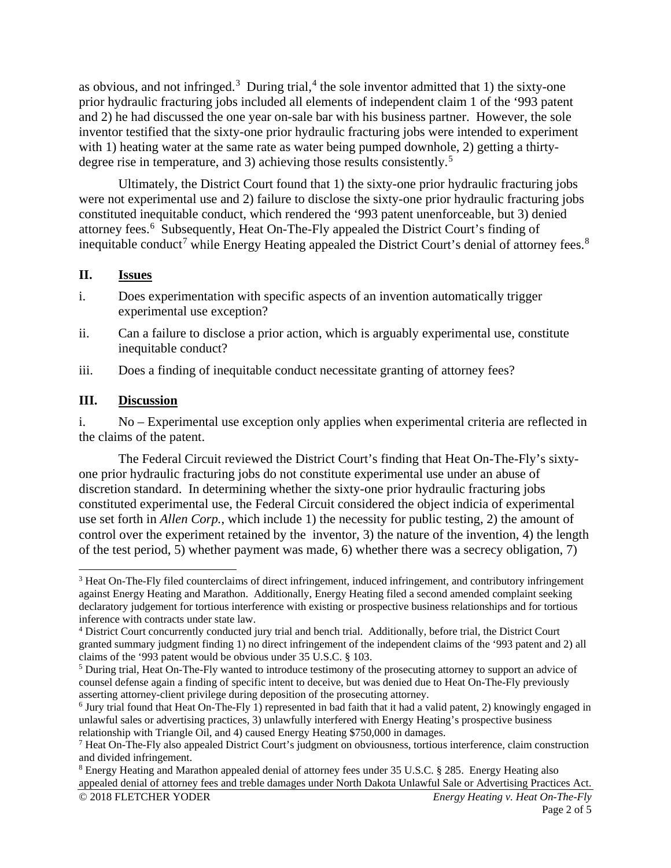as obvious, and not infringed.<sup>[3](#page-1-0)</sup> During trial,<sup>[4](#page-1-1)</sup> the sole inventor admitted that 1) the sixty-one prior hydraulic fracturing jobs included all elements of independent claim 1 of the '993 patent and 2) he had discussed the one year on-sale bar with his business partner. However, the sole inventor testified that the sixty-one prior hydraulic fracturing jobs were intended to experiment with 1) heating water at the same rate as water being pumped downhole, 2) getting a thirty-degree rise in temperature, and 3) achieving those results consistently.<sup>[5](#page-1-2)</sup>

Ultimately, the District Court found that 1) the sixty-one prior hydraulic fracturing jobs were not experimental use and 2) failure to disclose the sixty-one prior hydraulic fracturing jobs constituted inequitable conduct, which rendered the '993 patent unenforceable, but 3) denied attorney fees. [6](#page-1-3) Subsequently, Heat On-The-Fly appealed the District Court's finding of inequitable conduct<sup>[7](#page-1-4)</sup> while Energy Heating appealed the District Court's denial of attorney fees.<sup>[8](#page-1-5)</sup>

### **II. Issues**

- i. Does experimentation with specific aspects of an invention automatically trigger experimental use exception?
- ii. Can a failure to disclose a prior action, which is arguably experimental use, constitute inequitable conduct?
- iii. Does a finding of inequitable conduct necessitate granting of attorney fees?

### **III. Discussion**

i. No – Experimental use exception only applies when experimental criteria are reflected in the claims of the patent.

The Federal Circuit reviewed the District Court's finding that Heat On-The-Fly's sixtyone prior hydraulic fracturing jobs do not constitute experimental use under an abuse of discretion standard. In determining whether the sixty-one prior hydraulic fracturing jobs constituted experimental use, the Federal Circuit considered the object indicia of experimental use set forth in *Allen Corp.*, which include 1) the necessity for public testing, 2) the amount of control over the experiment retained by the inventor, 3) the nature of the invention, 4) the length of the test period, 5) whether payment was made, 6) whether there was a secrecy obligation, 7)

<span id="page-1-0"></span> <sup>3</sup> Heat On-The-Fly filed counterclaims of direct infringement, induced infringement, and contributory infringement against Energy Heating and Marathon. Additionally, Energy Heating filed a second amended complaint seeking declaratory judgement for tortious interference with existing or prospective business relationships and for tortious inference with contracts under state law.

<span id="page-1-1"></span><sup>4</sup> District Court concurrently conducted jury trial and bench trial. Additionally, before trial, the District Court granted summary judgment finding 1) no direct infringement of the independent claims of the '993 patent and 2) all claims of the '993 patent would be obvious under 35 U.S.C. § 103.

<span id="page-1-2"></span><sup>&</sup>lt;sup>5</sup> During trial, Heat On-The-Fly wanted to introduce testimony of the prosecuting attorney to support an advice of counsel defense again a finding of specific intent to deceive, but was denied due to Heat On-The-Fly previously asserting attorney-client privilege during deposition of the prosecuting attorney.

<span id="page-1-3"></span><sup>&</sup>lt;sup>6</sup> Jury trial found that Heat On-The-Fly 1) represented in bad faith that it had a valid patent, 2) knowingly engaged in unlawful sales or advertising practices, 3) unlawfully interfered with Energy Heating's prospective business relationship with Triangle Oil, and 4) caused Energy Heating \$750,000 in damages.

<span id="page-1-4"></span> $<sup>7</sup>$  Heat On-The-Fly also appealed District Court's judgment on obviousness, tortious interference, claim construction</sup> and divided infringement.

<span id="page-1-5"></span><sup>© 2018</sup> FLETCHER YODER *Energy Heating v. Heat On-The-Fly* <sup>8</sup> Energy Heating and Marathon appealed denial of attorney fees under 35 U.S.C. § 285. Energy Heating also appealed denial of attorney fees and treble damages under North Dakota Unlawful Sale or Advertising Practices Act.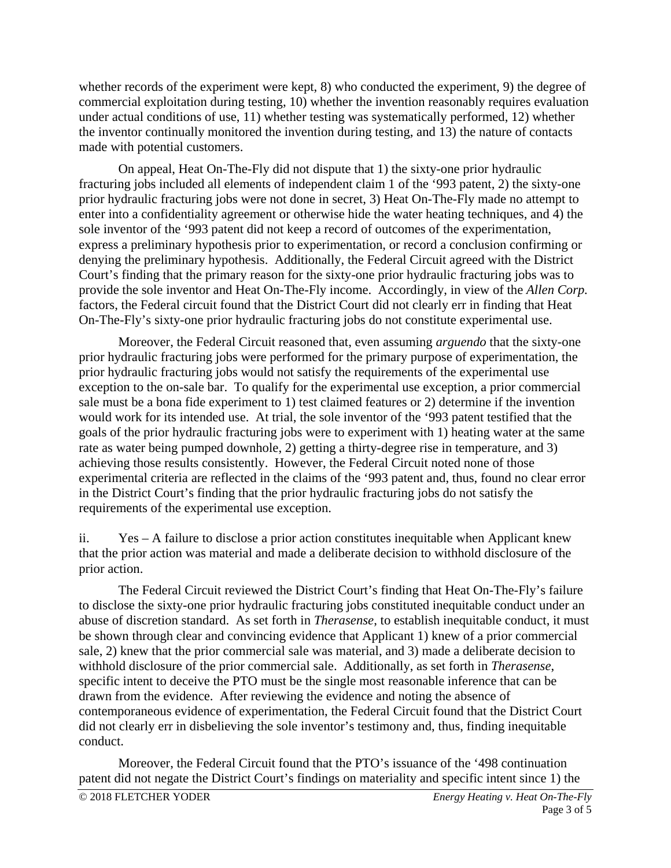whether records of the experiment were kept, 8) who conducted the experiment, 9) the degree of commercial exploitation during testing, 10) whether the invention reasonably requires evaluation under actual conditions of use, 11) whether testing was systematically performed, 12) whether the inventor continually monitored the invention during testing, and 13) the nature of contacts made with potential customers.

On appeal, Heat On-The-Fly did not dispute that 1) the sixty-one prior hydraulic fracturing jobs included all elements of independent claim 1 of the '993 patent, 2) the sixty-one prior hydraulic fracturing jobs were not done in secret, 3) Heat On-The-Fly made no attempt to enter into a confidentiality agreement or otherwise hide the water heating techniques, and 4) the sole inventor of the '993 patent did not keep a record of outcomes of the experimentation, express a preliminary hypothesis prior to experimentation, or record a conclusion confirming or denying the preliminary hypothesis. Additionally, the Federal Circuit agreed with the District Court's finding that the primary reason for the sixty-one prior hydraulic fracturing jobs was to provide the sole inventor and Heat On-The-Fly income. Accordingly, in view of the *Allen Corp.* factors, the Federal circuit found that the District Court did not clearly err in finding that Heat On-The-Fly's sixty-one prior hydraulic fracturing jobs do not constitute experimental use.

Moreover, the Federal Circuit reasoned that, even assuming *arguendo* that the sixty-one prior hydraulic fracturing jobs were performed for the primary purpose of experimentation, the prior hydraulic fracturing jobs would not satisfy the requirements of the experimental use exception to the on-sale bar. To qualify for the experimental use exception, a prior commercial sale must be a bona fide experiment to 1) test claimed features or 2) determine if the invention would work for its intended use. At trial, the sole inventor of the '993 patent testified that the goals of the prior hydraulic fracturing jobs were to experiment with 1) heating water at the same rate as water being pumped downhole, 2) getting a thirty-degree rise in temperature, and 3) achieving those results consistently. However, the Federal Circuit noted none of those experimental criteria are reflected in the claims of the '993 patent and, thus, found no clear error in the District Court's finding that the prior hydraulic fracturing jobs do not satisfy the requirements of the experimental use exception.

ii. Yes – A failure to disclose a prior action constitutes inequitable when Applicant knew that the prior action was material and made a deliberate decision to withhold disclosure of the prior action.

The Federal Circuit reviewed the District Court's finding that Heat On-The-Fly's failure to disclose the sixty-one prior hydraulic fracturing jobs constituted inequitable conduct under an abuse of discretion standard. As set forth in *Therasense*, to establish inequitable conduct, it must be shown through clear and convincing evidence that Applicant 1) knew of a prior commercial sale, 2) knew that the prior commercial sale was material, and 3) made a deliberate decision to withhold disclosure of the prior commercial sale. Additionally, as set forth in *Therasense*, specific intent to deceive the PTO must be the single most reasonable inference that can be drawn from the evidence. After reviewing the evidence and noting the absence of contemporaneous evidence of experimentation, the Federal Circuit found that the District Court did not clearly err in disbelieving the sole inventor's testimony and, thus, finding inequitable conduct.

Moreover, the Federal Circuit found that the PTO's issuance of the '498 continuation patent did not negate the District Court's findings on materiality and specific intent since 1) the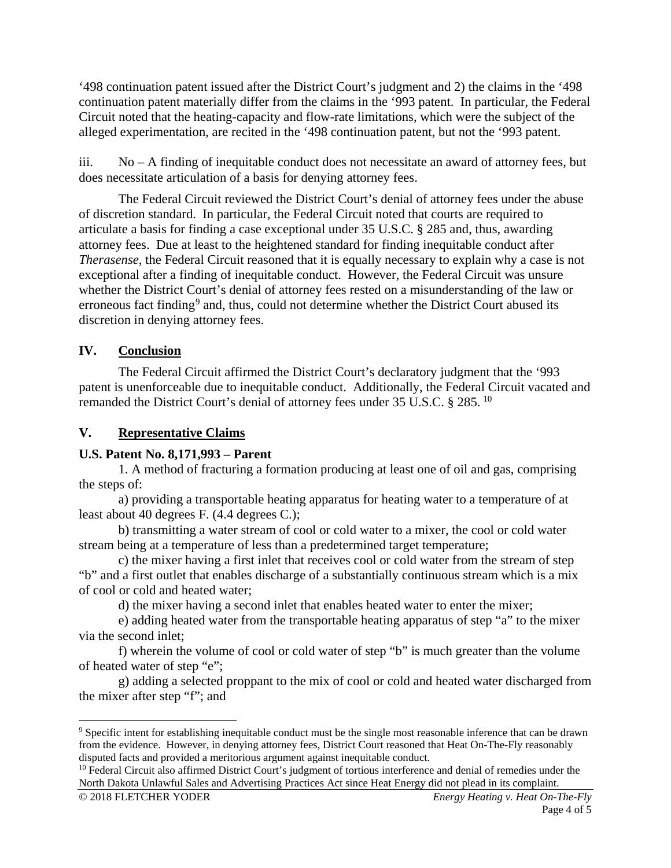'498 continuation patent issued after the District Court's judgment and 2) the claims in the '498 continuation patent materially differ from the claims in the '993 patent. In particular, the Federal Circuit noted that the heating-capacity and flow-rate limitations, which were the subject of the alleged experimentation, are recited in the '498 continuation patent, but not the '993 patent.

iii. No – A finding of inequitable conduct does not necessitate an award of attorney fees, but does necessitate articulation of a basis for denying attorney fees.

The Federal Circuit reviewed the District Court's denial of attorney fees under the abuse of discretion standard. In particular, the Federal Circuit noted that courts are required to articulate a basis for finding a case exceptional under 35 U.S.C. § 285 and, thus, awarding attorney fees. Due at least to the heightened standard for finding inequitable conduct after *Therasense*, the Federal Circuit reasoned that it is equally necessary to explain why a case is not exceptional after a finding of inequitable conduct. However, the Federal Circuit was unsure whether the District Court's denial of attorney fees rested on a misunderstanding of the law or erroneous fact finding<sup>[9](#page-3-0)</sup> and, thus, could not determine whether the District Court abused its discretion in denying attorney fees.

# **IV. Conclusion**

The Federal Circuit affirmed the District Court's declaratory judgment that the '993 patent is unenforceable due to inequitable conduct. Additionally, the Federal Circuit vacated and remanded the District Court's denial of attorney fees under 35 U.S.C. § 285. [10](#page-3-1)

# **V. Representative Claims**

## **U.S. Patent No. 8,171,993 – Parent**

1. A method of fracturing a formation producing at least one of oil and gas, comprising the steps of:

a) providing a transportable heating apparatus for heating water to a temperature of at least about 40 degrees F. (4.4 degrees C.);

b) transmitting a water stream of cool or cold water to a mixer, the cool or cold water stream being at a temperature of less than a predetermined target temperature;

c) the mixer having a first inlet that receives cool or cold water from the stream of step "b" and a first outlet that enables discharge of a substantially continuous stream which is a mix of cool or cold and heated water;

d) the mixer having a second inlet that enables heated water to enter the mixer;

e) adding heated water from the transportable heating apparatus of step "a" to the mixer via the second inlet;

f) wherein the volume of cool or cold water of step "b" is much greater than the volume of heated water of step "e";

g) adding a selected proppant to the mix of cool or cold and heated water discharged from the mixer after step "f"; and

<span id="page-3-0"></span> <sup>9</sup> Specific intent for establishing inequitable conduct must be the single most reasonable inference that can be drawn from the evidence. However, in denying attorney fees, District Court reasoned that Heat On-The-Fly reasonably disputed facts and provided a meritorious argument against inequitable conduct.

<span id="page-3-1"></span><sup>&</sup>lt;sup>10</sup> Federal Circuit also affirmed District Court's judgment of tortious interference and denial of remedies under the North Dakota Unlawful Sales and Advertising Practices Act since Heat Energy did not plead in its complaint.